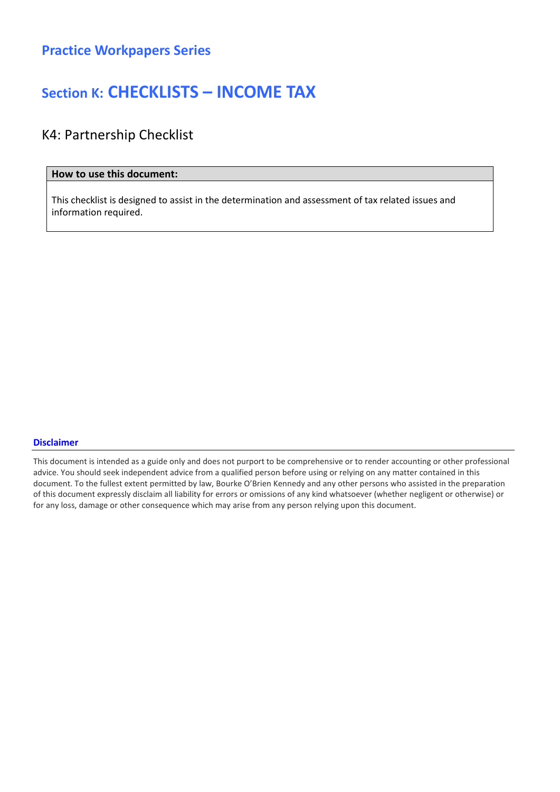### Section K: CHECKLISTS – INCOME TAX

### K4: Partnership Checklist

#### How to use this document:

This checklist is designed to assist in the determination and assessment of tax related issues and information required.

#### Disclaimer

This document is intended as a guide only and does not purport to be comprehensive or to render accounting or other professional advice. You should seek independent advice from a qualified person before using or relying on any matter contained in this document. To the fullest extent permitted by law, Bourke O'Brien Kennedy and any other persons who assisted in the preparation of this document expressly disclaim all liability for errors or omissions of any kind whatsoever (whether negligent or otherwise) or for any loss, damage or other consequence which may arise from any person relying upon this document.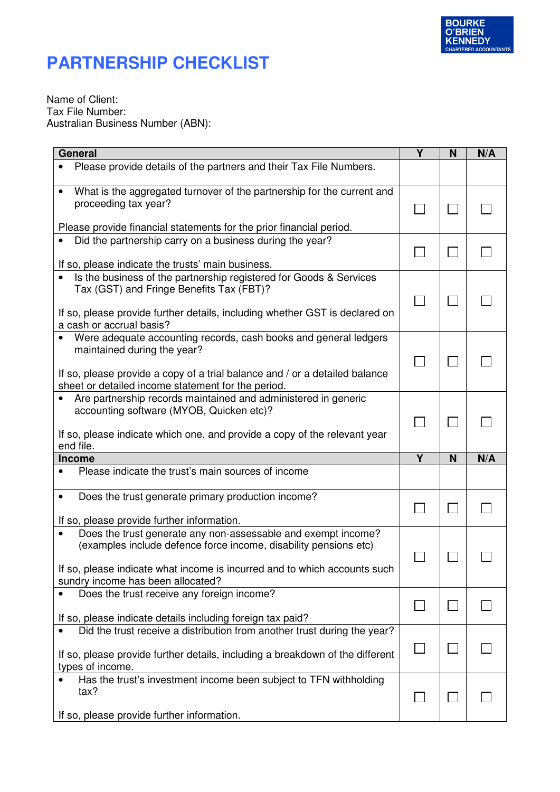

### **PARTNERSHIP CHECKLIST**

Name of Client: Tax File Number: Australian Business Number (ABN):

| <b>General</b>                                                                                                                                                                                                                                      | Y | N | N/A |
|-----------------------------------------------------------------------------------------------------------------------------------------------------------------------------------------------------------------------------------------------------|---|---|-----|
| Please provide details of the partners and their Tax File Numbers.                                                                                                                                                                                  |   |   |     |
| What is the aggregated turnover of the partnership for the current and<br>proceeding tax year?                                                                                                                                                      |   |   |     |
| Please provide financial statements for the prior financial period.                                                                                                                                                                                 |   |   |     |
| Did the partnership carry on a business during the year?<br>If so, please indicate the trusts' main business.                                                                                                                                       |   |   |     |
| Is the business of the partnership registered for Goods & Services<br>Tax (GST) and Fringe Benefits Tax (FBT)?<br>If so, please provide further details, including whether GST is declared on<br>a cash or accrual basis?                           |   |   |     |
| Were adequate accounting records, cash books and general ledgers<br>maintained during the year?<br>If so, please provide a copy of a trial balance and / or a detailed balance<br>sheet or detailed income statement for the period.                |   |   |     |
| Are partnership records maintained and administered in generic<br>accounting software (MYOB, Quicken etc)?<br>If so, please indicate which one, and provide a copy of the relevant year<br>end file.                                                |   |   |     |
| <b>Income</b>                                                                                                                                                                                                                                       | Y | N | N/A |
| Please indicate the trust's main sources of income                                                                                                                                                                                                  |   |   |     |
| Does the trust generate primary production income?<br>٠<br>If so, please provide further information.                                                                                                                                               |   |   |     |
| Does the trust generate any non-assessable and exempt income?<br>(examples include defence force income, disability pensions etc)<br>If so, please indicate what income is incurred and to which accounts such<br>sundry income has been allocated? |   |   |     |
| Does the trust receive any foreign income?<br>$\bullet$<br>If so, please indicate details including foreign tax paid?                                                                                                                               |   |   |     |
| Did the trust receive a distribution from another trust during the year?<br>If so, please provide further details, including a breakdown of the different<br>types of income.                                                                       |   |   |     |
| Has the trust's investment income been subject to TFN withholding<br>tax?<br>If so, please provide further information.                                                                                                                             |   |   |     |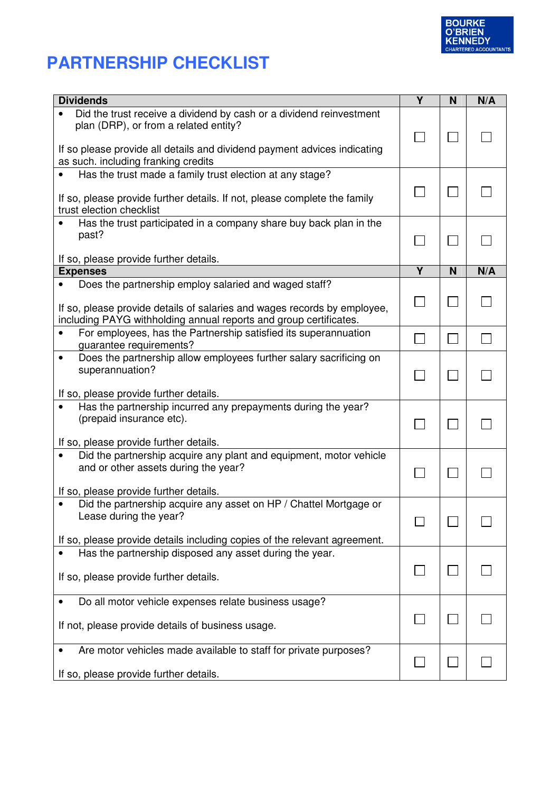

# **PARTNERSHIP CHECKLIST**

| <b>Dividends</b>                                                                                                                                                                                       | Υ | N | N/A |
|--------------------------------------------------------------------------------------------------------------------------------------------------------------------------------------------------------|---|---|-----|
| Did the trust receive a dividend by cash or a dividend reinvestment<br>plan (DRP), or from a related entity?<br>If so please provide all details and dividend payment advices indicating               |   |   |     |
| as such. including franking credits                                                                                                                                                                    |   |   |     |
| Has the trust made a family trust election at any stage?<br>If so, please provide further details. If not, please complete the family                                                                  |   |   |     |
| trust election checklist                                                                                                                                                                               |   |   |     |
| Has the trust participated in a company share buy back plan in the<br>$\bullet$<br>past?                                                                                                               |   |   |     |
| If so, please provide further details.                                                                                                                                                                 |   |   |     |
| <b>Expenses</b>                                                                                                                                                                                        | Y | N | N/A |
| Does the partnership employ salaried and waged staff?<br>If so, please provide details of salaries and wages records by employee,<br>including PAYG withholding annual reports and group certificates. |   |   |     |
| For employees, has the Partnership satisfied its superannuation<br>$\bullet$<br>guarantee requirements?                                                                                                |   |   |     |
| Does the partnership allow employees further salary sacrificing on<br>$\bullet$<br>superannuation?<br>If so, please provide further details.                                                           |   |   |     |
| Has the partnership incurred any prepayments during the year?<br>(prepaid insurance etc).<br>If so, please provide further details.                                                                    |   |   |     |
| Did the partnership acquire any plant and equipment, motor vehicle<br>and or other assets during the year?<br>If so, please provide further details.                                                   |   |   |     |
| Did the partnership acquire any asset on HP / Chattel Mortgage or<br>$\bullet$<br>Lease during the year?<br>If so, please provide details including copies of the relevant agreement.                  |   |   |     |
| Has the partnership disposed any asset during the year.<br>If so, please provide further details.                                                                                                      |   |   |     |
| Do all motor vehicle expenses relate business usage?<br>If not, please provide details of business usage.                                                                                              |   |   |     |
| Are motor vehicles made available to staff for private purposes?<br>If so, please provide further details.                                                                                             |   |   |     |